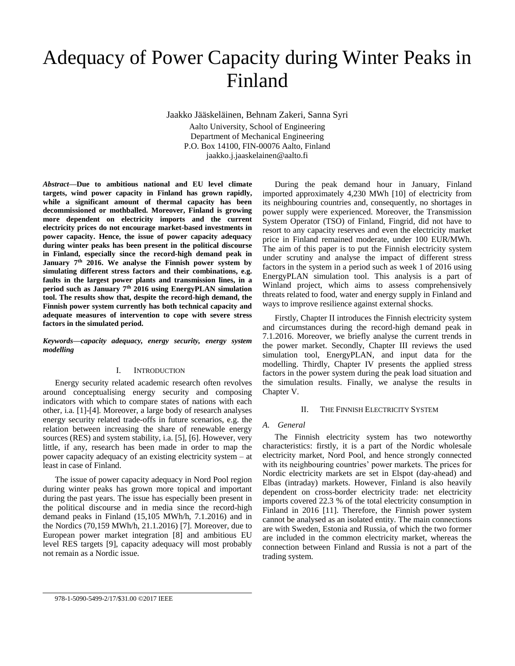# Adequacy of Power Capacity during Winter Peaks in Finland

Jaakko Jääskeläinen, Behnam Zakeri, Sanna Syri Aalto University, School of Engineering Department of Mechanical Engineering P.O. Box 14100, FIN-00076 Aalto, Finland jaakko.j.jaaskelainen@aalto.fi

*Abstract—***Due to ambitious national and EU level climate targets, wind power capacity in Finland has grown rapidly, while a significant amount of thermal capacity has been decommissioned or mothballed. Moreover, Finland is growing more dependent on electricity imports and the current electricity prices do not encourage market-based investments in power capacity. Hence, the issue of power capacity adequacy during winter peaks has been present in the political discourse in Finland, especially since the record-high demand peak in January 7 th 2016. We analyse the Finnish power system by simulating different stress factors and their combinations, e.g. faults in the largest power plants and transmission lines, in a period such as January 7th 2016 using EnergyPLAN simulation tool. The results show that, despite the record-high demand, the Finnish power system currently has both technical capacity and adequate measures of intervention to cope with severe stress factors in the simulated period.**

*Keywords—capacity adequacy, energy security, energy system modelling*

## I. INTRODUCTION

Energy security related academic research often revolves around conceptualising energy security and composing indicators with which to compare states of nations with each other, i.a. [1]-[4]. Moreover, a large body of research analyses energy security related trade-offs in future scenarios, e.g. the relation between increasing the share of renewable energy sources (RES) and system stability, i.a. [5], [6]. However, very little, if any, research has been made in order to map the power capacity adequacy of an existing electricity system – at least in case of Finland.

The issue of power capacity adequacy in Nord Pool region during winter peaks has grown more topical and important during the past years. The issue has especially been present in the political discourse and in media since the record-high demand peaks in Finland (15,105 MWh/h, 7.1.2016) and in the Nordics (70,159 MWh/h, 21.1.2016) [7]. Moreover, due to European power market integration [8] and ambitious EU level RES targets [9], capacity adequacy will most probably not remain as a Nordic issue.

During the peak demand hour in January, Finland imported approximately 4,230 MWh [10] of electricity from its neighbouring countries and, consequently, no shortages in power supply were experienced. Moreover, the Transmission System Operator (TSO) of Finland, Fingrid, did not have to resort to any capacity reserves and even the electricity market price in Finland remained moderate, under 100 EUR/MWh. The aim of this paper is to put the Finnish electricity system under scrutiny and analyse the impact of different stress factors in the system in a period such as week 1 of 2016 using EnergyPLAN simulation tool. This analysis is a part of Winland project, which aims to assess comprehensively threats related to food, water and energy supply in Finland and ways to improve resilience against external shocks.

Firstly, Chapter II introduces the Finnish electricity system and circumstances during the record-high demand peak in 7.1.2016. Moreover, we briefly analyse the current trends in the power market. Secondly, Chapter III reviews the used simulation tool, EnergyPLAN, and input data for the modelling. Thirdly, Chapter IV presents the applied stress factors in the power system during the peak load situation and the simulation results. Finally, we analyse the results in Chapter V.

#### II. THE FINNISH ELECTRICITY SYSTEM

#### *A. General*

The Finnish electricity system has two noteworthy characteristics: firstly, it is a part of the Nordic wholesale electricity market, Nord Pool, and hence strongly connected with its neighbouring countries' power markets. The prices for Nordic electricity markets are set in Elspot (day-ahead) and Elbas (intraday) markets. However, Finland is also heavily dependent on cross-border electricity trade: net electricity imports covered 22.3 % of the total electricity consumption in Finland in 2016 [11]. Therefore, the Finnish power system cannot be analysed as an isolated entity. The main connections are with Sweden, Estonia and Russia, of which the two former are included in the common electricity market, whereas the connection between Finland and Russia is not a part of the trading system.

#### 978-1-5090-5499-2/17/\$31.00 ©2017 IEEE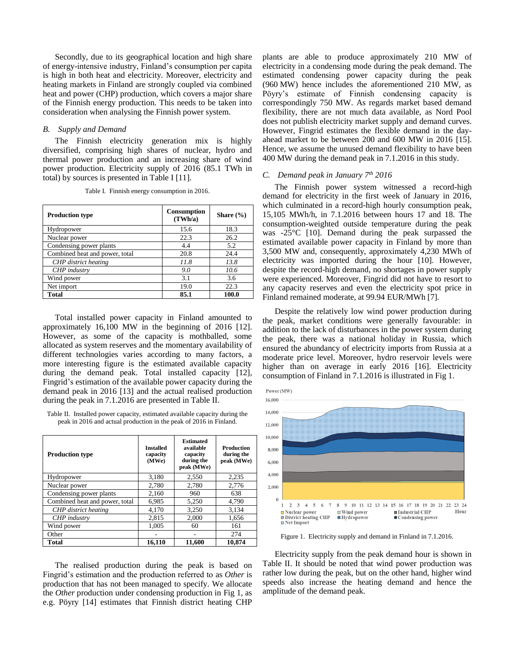Secondly, due to its geographical location and high share of energy-intensive industry, Finland's consumption per capita is high in both heat and electricity. Moreover, electricity and heating markets in Finland are strongly coupled via combined heat and power (CHP) production, which covers a major share of the Finnish energy production. This needs to be taken into consideration when analysing the Finnish power system.

## *B. Supply and Demand*

The Finnish electricity generation mix is highly diversified, comprising high shares of nuclear, hydro and thermal power production and an increasing share of wind power production. Electricity supply of 2016 (85.1 TWh in total) by sources is presented in Table I [11].

| <b>Production type</b>         | Consumption<br>(TWh/a) | Share $(\% )$ |
|--------------------------------|------------------------|---------------|
| Hydropower                     | 15.6                   | 18.3          |
| Nuclear power                  | 22.3                   | 26.2          |
| Condensing power plants        | 4.4                    | 5.2           |
| Combined heat and power, total | 20.8                   | 24.4          |
| CHP district heating           | 11.8                   | 13.8          |
| CHP industry                   | 9.0                    | 10.6          |
| Wind power                     | 3.1                    | 3.6           |
| Net import                     | 19.0                   | 22.3          |
| Total                          | 85.1                   | 100.0         |

Table I. Finnish energy consumption in 2016.

Total installed power capacity in Finland amounted to approximately 16,100 MW in the beginning of 2016 [12]. However, as some of the capacity is mothballed, some allocated as system reserves and the momentary availability of different technologies varies according to many factors, a more interesting figure is the estimated available capacity during the demand peak. Total installed capacity [12], Fingrid's estimation of the available power capacity during the demand peak in 2016 [13] and the actual realised production during the peak in 7.1.2016 are presented in Table II.

Table II. Installed power capacity, estimated available capacity during the peak in 2016 and actual production in the peak of 2016 in Finland.

| <b>Production type</b>         | <b>Installed</b><br>capacity<br>(MWe) | <b>Estimated</b><br>available<br>capacity<br>during the<br>peak (MWe) | <b>Production</b><br>during the<br>peak (MWe) |
|--------------------------------|---------------------------------------|-----------------------------------------------------------------------|-----------------------------------------------|
| Hydropower                     | 3,180                                 | 2,550                                                                 | 2,235                                         |
| Nuclear power                  | 2,780                                 | 2.780                                                                 | 2.776                                         |
| Condensing power plants        | 2,160                                 | 960                                                                   | 638                                           |
| Combined heat and power, total | 6.985                                 | 5,250                                                                 | 4,790                                         |
| CHP district heating           | 4.170                                 | 3.250                                                                 | 3.134                                         |
| CHP industry                   | 2.815                                 | 2.000                                                                 | 1,656                                         |
| Wind power                     | 1.005                                 | 60                                                                    | 161                                           |
| Other                          |                                       |                                                                       | 274                                           |
| <b>Total</b>                   | 16.110                                | 11.600                                                                | 10.874                                        |

The realised production during the peak is based on Fingrid's estimation and the production referred to as *Other* is production that has not been managed to specify. We allocate the *Other* production under condensing production in Fig 1, as e.g. Pöyry [14] estimates that Finnish district heating CHP plants are able to produce approximately 210 MW of electricity in a condensing mode during the peak demand. The estimated condensing power capacity during the peak (960 MW) hence includes the aforementioned 210 MW, as Pöyry's estimate of Finnish condensing capacity is correspondingly 750 MW. As regards market based demand flexibility, there are not much data available, as Nord Pool does not publish electricity market supply and demand curves. However, Fingrid estimates the flexible demand in the dayahead market to be between 200 and 600 MW in 2016 [15]. Hence, we assume the unused demand flexibility to have been 400 MW during the demand peak in 7.1.2016 in this study.

## *C. Demand peak in January 7th 2016*

The Finnish power system witnessed a record-high demand for electricity in the first week of January in 2016, which culminated in a record-high hourly consumption peak, 15,105 MWh/h, in 7.1.2016 between hours 17 and 18. The consumption-weighted outside temperature during the peak was -25°C [10]. Demand during the peak surpassed the estimated available power capacity in Finland by more than 3,500 MW and, consequently, approximately 4,230 MWh of electricity was imported during the hour [10]. However, despite the record-high demand, no shortages in power supply were experienced. Moreover, Fingrid did not have to resort to any capacity reserves and even the electricity spot price in Finland remained moderate, at 99.94 EUR/MWh [7].

Despite the relatively low wind power production during the peak, market conditions were generally favourable: in addition to the lack of disturbances in the power system during the peak, there was a national holiday in Russia, which ensured the abundancy of electricity imports from Russia at a moderate price level. Moreover, hydro reservoir levels were higher than on average in early 2016 [16]. Electricity consumption of Finland in 7.1.2016 is illustrated in Fig 1.



Figure 1. Electricity supply and demand in Finland in 7.1.2016.

Electricity supply from the peak demand hour is shown in Table II. It should be noted that wind power production was rather low during the peak, but on the other hand, higher wind speeds also increase the heating demand and hence the amplitude of the demand peak.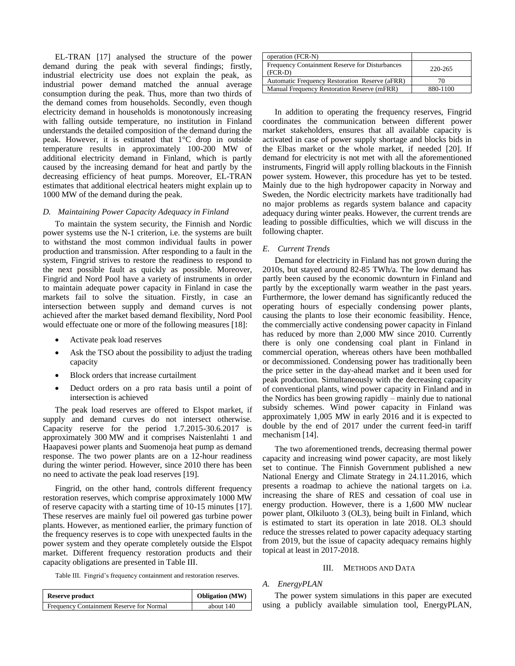EL-TRAN [17] analysed the structure of the power demand during the peak with several findings; firstly, industrial electricity use does not explain the peak, as industrial power demand matched the annual average consumption during the peak. Thus, more than two thirds of the demand comes from households. Secondly, even though electricity demand in households is monotonously increasing with falling outside temperature, no institution in Finland understands the detailed composition of the demand during the peak. However, it is estimated that 1°C drop in outside temperature results in approximately 100-200 MW of additional electricity demand in Finland, which is partly caused by the increasing demand for heat and partly by the decreasing efficiency of heat pumps. Moreover, EL-TRAN estimates that additional electrical heaters might explain up to 1000 MW of the demand during the peak.

## *D. Maintaining Power Capacity Adequacy in Finland*

To maintain the system security, the Finnish and Nordic power systems use the N-1 criterion, i.e. the systems are built to withstand the most common individual faults in power production and transmission. After responding to a fault in the system, Fingrid strives to restore the readiness to respond to the next possible fault as quickly as possible. Moreover, Fingrid and Nord Pool have a variety of instruments in order to maintain adequate power capacity in Finland in case the markets fail to solve the situation. Firstly, in case an intersection between supply and demand curves is not achieved after the market based demand flexibility, Nord Pool would effectuate one or more of the following measures [18]:

- Activate peak load reserves
- Ask the TSO about the possibility to adjust the trading capacity
- Block orders that increase curtailment
- Deduct orders on a pro rata basis until a point of intersection is achieved

The peak load reserves are offered to Elspot market, if supply and demand curves do not intersect otherwise. Capacity reserve for the period 1.7.2015-30.6.2017 is approximately 300 MW and it comprises Naistenlahti 1 and Haapavesi power plants and Suomenoja heat pump as demand response. The two power plants are on a 12-hour readiness during the winter period. However, since 2010 there has been no need to activate the peak load reserves [19].

Fingrid, on the other hand, controls different frequency restoration reserves, which comprise approximately 1000 MW of reserve capacity with a starting time of 10-15 minutes [17]. These reserves are mainly fuel oil powered gas turbine power plants. However, as mentioned earlier, the primary function of the frequency reserves is to cope with unexpected faults in the power system and they operate completely outside the Elspot market. Different frequency restoration products and their capacity obligations are presented in Table III.

|  | Table III. Fingrid's frequency containment and restoration reserves. |
|--|----------------------------------------------------------------------|
|  |                                                                      |

| operation (FCR-N)                                           |          |
|-------------------------------------------------------------|----------|
| Frequency Containment Reserve for Disturbances<br>$(FCR-D)$ | 220-265  |
| Automatic Frequency Restoration Reserve (aFRR)              | 70       |
| Manual Frequency Restoration Reserve (mFRR)                 | 880-1100 |
|                                                             |          |

In addition to operating the frequency reserves, Fingrid coordinates the communication between different power market stakeholders, ensures that all available capacity is activated in case of power supply shortage and blocks bids in the Elbas market or the whole market, if needed [20]. If demand for electricity is not met with all the aforementioned instruments, Fingrid will apply rolling blackouts in the Finnish power system. However, this procedure has yet to be tested. Mainly due to the high hydropower capacity in Norway and Sweden, the Nordic electricity markets have traditionally had no major problems as regards system balance and capacity adequacy during winter peaks. However, the current trends are leading to possible difficulties, which we will discuss in the following chapter.

#### *E. Current Trends*

Demand for electricity in Finland has not grown during the 2010s, but stayed around 82-85 TWh/a. The low demand has partly been caused by the economic downturn in Finland and partly by the exceptionally warm weather in the past years. Furthermore, the lower demand has significantly reduced the operating hours of especially condensing power plants, causing the plants to lose their economic feasibility. Hence, the commercially active condensing power capacity in Finland has reduced by more than 2,000 MW since 2010. Currently there is only one condensing coal plant in Finland in commercial operation, whereas others have been mothballed or decommissioned. Condensing power has traditionally been the price setter in the day-ahead market and it been used for peak production. Simultaneously with the decreasing capacity of conventional plants, wind power capacity in Finland and in the Nordics has been growing rapidly – mainly due to national subsidy schemes. Wind power capacity in Finland was approximately 1,005 MW in early 2016 and it is expected to double by the end of 2017 under the current feed-in tariff mechanism [14].

The two aforementioned trends, decreasing thermal power capacity and increasing wind power capacity, are most likely set to continue. The Finnish Government published a new National Energy and Climate Strategy in 24.11.2016, which presents a roadmap to achieve the national targets on i.a. increasing the share of RES and cessation of coal use in energy production. However, there is a 1,600 MW nuclear power plant, Olkiluoto 3 (OL3), being built in Finland, which is estimated to start its operation in late 2018. OL3 should reduce the stresses related to power capacity adequacy starting from 2019, but the issue of capacity adequacy remains highly topical at least in 2017-2018.

#### III. METHODS AND DATA

## *A. EnergyPLAN*

The power system simulations in this paper are executed using a publicly available simulation tool, EnergyPLAN,

| <b>Reserve product</b>                   | <b>Obligation</b> (MW) |
|------------------------------------------|------------------------|
| Frequency Containment Reserve for Normal | about 140              |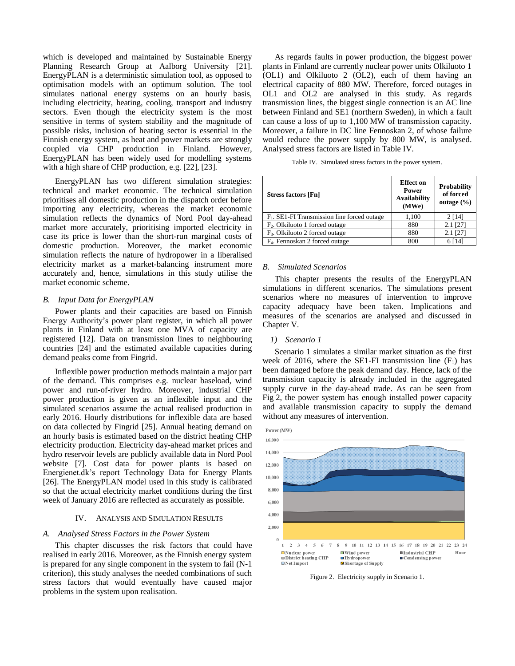which is developed and maintained by Sustainable Energy Planning Research Group at Aalborg University [21]. EnergyPLAN is a deterministic simulation tool, as opposed to optimisation models with an optimum solution. The tool simulates national energy systems on an hourly basis, including electricity, heating, cooling, transport and industry sectors. Even though the electricity system is the most sensitive in terms of system stability and the magnitude of possible risks, inclusion of heating sector is essential in the Finnish energy system, as heat and power markets are strongly coupled via CHP production in Finland. However, EnergyPLAN has been widely used for modelling systems with a high share of CHP production, e.g. [22], [23].

EnergyPLAN has two different simulation strategies: technical and market economic. The technical simulation prioritises all domestic production in the dispatch order before importing any electricity, whereas the market economic simulation reflects the dynamics of Nord Pool day-ahead market more accurately, prioritising imported electricity in case its price is lower than the short-run marginal costs of domestic production. Moreover, the market economic simulation reflects the nature of hydropower in a liberalised electricity market as a market-balancing instrument more accurately and, hence, simulations in this study utilise the market economic scheme.

#### *B. Input Data for EnergyPLAN*

Power plants and their capacities are based on Finnish Energy Authority's power plant register, in which all power plants in Finland with at least one MVA of capacity are registered [12]. Data on transmission lines to neighbouring countries [24] and the estimated available capacities during demand peaks come from Fingrid.

Inflexible power production methods maintain a major part of the demand. This comprises e.g. nuclear baseload, wind power and run-of-river hydro. Moreover, industrial CHP power production is given as an inflexible input and the simulated scenarios assume the actual realised production in early 2016. Hourly distributions for inflexible data are based on data collected by Fingrid [25]. Annual heating demand on an hourly basis is estimated based on the district heating CHP electricity production. Electricity day-ahead market prices and hydro reservoir levels are publicly available data in Nord Pool website [7]. Cost data for power plants is based on Energienet.dk's report Technology Data for Energy Plants [26]. The EnergyPLAN model used in this study is calibrated so that the actual electricity market conditions during the first week of January 2016 are reflected as accurately as possible.

## IV. ANALYSIS AND SIMULATION RESULTS

#### *A. Analysed Stress Factors in the Power System*

This chapter discusses the risk factors that could have realised in early 2016. Moreover, as the Finnish energy system is prepared for any single component in the system to fail (N-1 criterion), this study analyses the needed combinations of such stress factors that would eventually have caused major problems in the system upon realisation.

As regards faults in power production, the biggest power plants in Finland are currently nuclear power units Olkiluoto 1 (OL1) and Olkiluoto 2 (OL2), each of them having an electrical capacity of 880 MW. Therefore, forced outages in OL1 and OL2 are analysed in this study. As regards transmission lines, the biggest single connection is an AC line between Finland and SE1 (northern Sweden), in which a fault can cause a loss of up to 1,100 MW of transmission capacity. Moreover, a failure in DC line Fennoskan 2, of whose failure would reduce the power supply by 800 MW, is analysed. Analysed stress factors are listed in Table IV.

Table IV. Simulated stress factors in the power system.

| <b>Stress factors [Fn]</b>                              | <b>Effect</b> on<br>Power<br><b>Availability</b><br>(MWe) | <b>Probability</b><br>of forced<br>outage $(\% )$ |
|---------------------------------------------------------|-----------------------------------------------------------|---------------------------------------------------|
| F <sub>1</sub> . SE1-FI Transmission line forced outage | 1.100                                                     | 2[14]                                             |
| F <sub>2</sub> . Olkiluoto 1 forced outage              | 880                                                       | $2.1$ [27]                                        |
| F <sub>3</sub> . Olkiluoto 2 forced outage              | 880                                                       | $2.1$ [27]                                        |
| F <sub>4</sub> . Fennoskan 2 forced outage              | 800                                                       | 6 [ 14]                                           |

#### *B. Simulated Scenarios*

This chapter presents the results of the EnergyPLAN simulations in different scenarios. The simulations present scenarios where no measures of intervention to improve capacity adequacy have been taken. Implications and measures of the scenarios are analysed and discussed in Chapter V.

#### *1) Scenario 1*

Scenario 1 simulates a similar market situation as the first week of 2016, where the SE1-FI transmission line  $(F_1)$  has been damaged before the peak demand day. Hence, lack of the transmission capacity is already included in the aggregated supply curve in the day-ahead trade. As can be seen from Fig 2, the power system has enough installed power capacity and available transmission capacity to supply the demand without any measures of intervention.



Figure 2. Electricity supply in Scenario 1.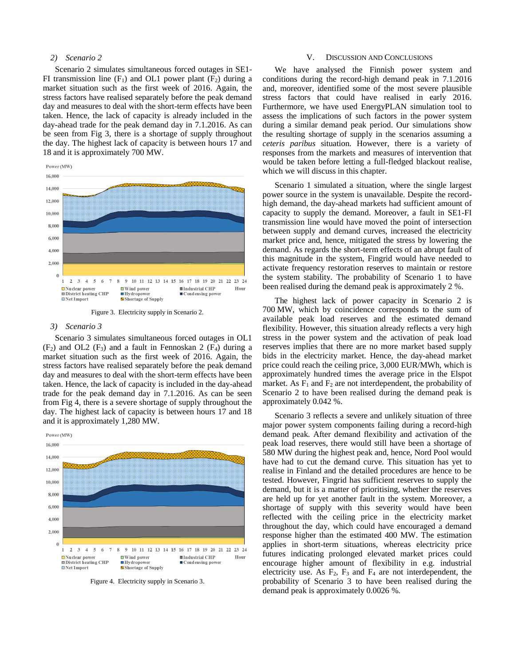## *2) Scenario 2*

Scenario 2 simulates simultaneous forced outages in SE1- FI transmission line  $(F_1)$  and OL1 power plant  $(F_2)$  during a market situation such as the first week of 2016. Again, the stress factors have realised separately before the peak demand day and measures to deal with the short-term effects have been taken. Hence, the lack of capacity is already included in the day-ahead trade for the peak demand day in 7.1.2016. As can be seen from Fig 3, there is a shortage of supply throughout the day. The highest lack of capacity is between hours 17 and 18 and it is approximately 700 MW.





#### *3) Scenario 3*

Scenario 3 simulates simultaneous forced outages in OL1  $(F_2)$  and OL2  $(F_3)$  and a fault in Fennoskan 2  $(F_4)$  during a market situation such as the first week of 2016. Again, the stress factors have realised separately before the peak demand day and measures to deal with the short-term effects have been taken. Hence, the lack of capacity is included in the day-ahead trade for the peak demand day in 7.1.2016. As can be seen from Fig 4, there is a severe shortage of supply throughout the day. The highest lack of capacity is between hours 17 and 18 and it is approximately 1,280 MW.



Figure 4. Electricity supply in Scenario 3.

#### V. DISCUSSION AND CONCLUSIONS

We have analysed the Finnish power system and conditions during the record-high demand peak in 7.1.2016 and, moreover, identified some of the most severe plausible stress factors that could have realised in early 2016. Furthermore, we have used EnergyPLAN simulation tool to assess the implications of such factors in the power system during a similar demand peak period. Our simulations show the resulting shortage of supply in the scenarios assuming a *ceteris paribus* situation. However, there is a variety of responses from the markets and measures of intervention that would be taken before letting a full-fledged blackout realise, which we will discuss in this chapter.

Scenario 1 simulated a situation, where the single largest power source in the system is unavailable. Despite the recordhigh demand, the day-ahead markets had sufficient amount of capacity to supply the demand. Moreover, a fault in SE1-FI transmission line would have moved the point of intersection between supply and demand curves, increased the electricity market price and, hence, mitigated the stress by lowering the demand. As regards the short-term effects of an abrupt fault of this magnitude in the system, Fingrid would have needed to activate frequency restoration reserves to maintain or restore the system stability. The probability of Scenario 1 to have been realised during the demand peak is approximately 2 %.

The highest lack of power capacity in Scenario 2 is 700 MW, which by coincidence corresponds to the sum of available peak load reserves and the estimated demand flexibility. However, this situation already reflects a very high stress in the power system and the activation of peak load reserves implies that there are no more market based supply bids in the electricity market. Hence, the day-ahead market price could reach the ceiling price, 3,000 EUR/MWh, which is approximately hundred times the average price in the Elspot market. As  $F_1$  and  $F_2$  are not interdependent, the probability of Scenario 2 to have been realised during the demand peak is approximately 0.042 %.

Scenario 3 reflects a severe and unlikely situation of three major power system components failing during a record-high demand peak. After demand flexibility and activation of the peak load reserves, there would still have been a shortage of 580 MW during the highest peak and, hence, Nord Pool would have had to cut the demand curve. This situation has yet to realise in Finland and the detailed procedures are hence to be tested. However, Fingrid has sufficient reserves to supply the demand, but it is a matter of prioritising, whether the reserves are held up for yet another fault in the system. Moreover, a shortage of supply with this severity would have been reflected with the ceiling price in the electricity market throughout the day, which could have encouraged a demand response higher than the estimated 400 MW. The estimation applies in short-term situations, whereas electricity price futures indicating prolonged elevated market prices could encourage higher amount of flexibility in e.g. industrial electricity use. As  $F_2$ ,  $F_3$  and  $F_4$  are not interdependent, the probability of Scenario 3 to have been realised during the demand peak is approximately 0.0026 %.